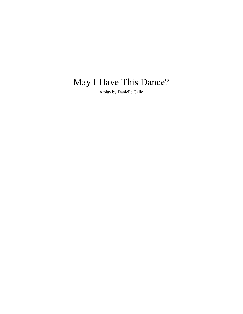# May I Have This Dance?

A play by Danielle Gallo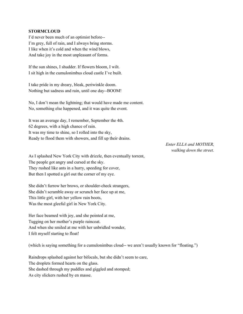#### **STORMCLOUD**

I'd never been much of an optimist before-- I'm grey, full of rain, and I always bring storms. I like when it's cold and when the wind blows, And take joy in the most unpleasant of forms.

If the sun shines, I shudder. If flowers bloom, I wilt. I sit high in the cumulonimbus cloud castle I've built.

I take pride in my dreary, bleak, periwinkle doom. Nothing but sadness and rain, until one day--BOOM!

No, I don't mean the lightning; that would have made me content. No, something else happened, and it was quite the event.

It was an average day, I remember, September the 4th. 62 degrees, with a high chance of rain. It was my time to shine, so I rolled into the sky, Ready to flood them with showers, and fill up their drains.

> *Enter ELLA and MOTHER, walking down the street.*

As I splashed New York City with drizzle, then eventually torrent, The people got angry and cursed at the sky. They rushed like ants in a hurry, speeding for cover, But then I spotted a girl out the corner of my eye.

She didn't furrow her brows, or shoulder-check strangers, She didn't scramble away or scrunch her face up at me, This little girl, with her yellow rain boots, Was the most gleeful girl in New York City.

Her face beamed with joy, and she pointed at me, Tugging on her mother's purple raincoat. And when she smiled at me with her unbridled wonder, I felt myself starting to float!

(which is saying something for a cumulonimbus cloud-- we aren't usually known for "floating.")

Raindrops splashed against her bifocals, but she didn't seem to care, The droplets formed hearts on the glass. She dashed through my puddles and giggled and stomped; As city slickers rushed by en masse.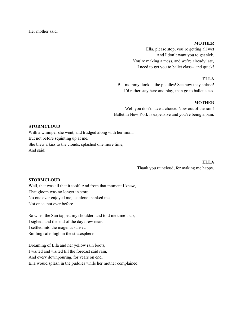Her mother said:

#### **MOTHER**

Ella, please stop, you're getting all wet And I don't want you to get sick. You're making a mess, and we're already late, I need to get you to ballet class-- and quick!

## **ELLA**

But mommy, look at the puddles! See how they splash! I'd rather stay here and play, than go to ballet class.

# **MOTHER**

Well you don't have a choice. Now out of the rain! Ballet in New York is expensive and you're being a pain.

# **STORMCLOUD**

With a whimper she went, and trudged along with her mom. But not before squinting up at me. She blew a kiss to the clouds, splashed one more time, And said:

#### **ELLA**

Thank you raincloud, for making me happy.

#### **STORMCLOUD**

Well, that was all that it took! And from that moment I knew, That gloom was no longer in store. No one ever enjoyed me, let alone thanked me, Not once, not ever before.

So when the Sun tapped my shoulder, and told me time's up, I sighed, and the end of the day drew near. I settled into the magenta sunset, Smiling safe, high in the stratosphere.

Dreaming of Ella and her yellow rain boots, I waited and waited till the forecast said rain, And every downpouring, for years on end, Ella would splash in the puddles while her mother complained.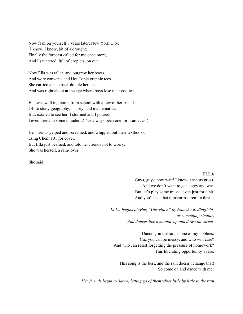Now fashion yourself 8 years later; New York City, (I know, I know, bit of a drought). Finally the forecast called for me once more, And I sauntered, full of droplets, on out.

Now Ella was taller, and outgrew her boots, And wore converse and Hot Topic graphic tees. She carried a backpack double her size, And was right about at the age where boys lose their cooties.

Ella was walking home from school with a few of her friends Off to study geography, history, and mathematics. But, excited to see her, I stormed and I poured, I even threw in some thunder...(I've always been one for dramatics!)

Her friends yelped and screamed, and whipped out their textbooks, using Chem 101 for cover. But Ella just beamed, and told her friends not to worry: She was herself, a rain-lover.

She said:

# **ELLA**

Guys, guys, now wait! I know it seems gross, And we don't want to get soggy and wet. But let's play some music, even just for a bit, And you'll see that rainstorms aren't a threat.

*ELLA begins playing "Unwritten" by Natasha Bedingfield, or something similar, And dances like a maniac up and down the street.*

Dancing in the rain is one of my hobbies, Cuz you can be messy, and who will care? And who can resist forgetting the pressure of homework? This liberating opportunity's rare.

This song is the best, and the rain doesn't change that! So come on and dance with me!

*Her friends begin to dance, letting go of themselves little by little in the rain*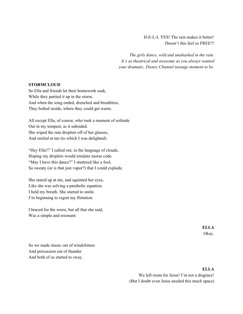H-E-L-L YES! The rain makes it better! Doesn't this feel so FREE?!

*The girls dance, wild and unabashed in the rain. It's as theatrical and awesome as you always wanted your dramatic, Disney Channel teenage moment to be.*

# **STORMCLOUD**

So Ella and friends let their homework soak, While they partied it up in the storm. And when the song ended, drenched and breathless, They bolted inside, where they could get warm.

All except Ella, of course, who took a moment of solitude Out in my tempest, as it subsided. She wiped the rain droplets off of her glasses, And smiled at me (to which I was delighted).

"Hey Ella!!" I called out, in the language of clouds, Hoping my droplets would emulate morse code. "May I have this dance?" I stuttered like a fool, So sweaty (or is that just vapor?) that I could explode.

She stared up at me, and squinted her eyes, Like she was solving a parabolic equation. I held my breath. She started to smile. I'm beginning to regret my flirtation.

I braced for the worst, but all that she said, Was a simple and resonant:

> **ELLA** Okay.

So we made music out of windchimes And percussion out of thunder And both of us started to sway.

# **ELLA**

We left room for Jesus! I'm not a disgrace! (But I doubt even Jesus needed this much space)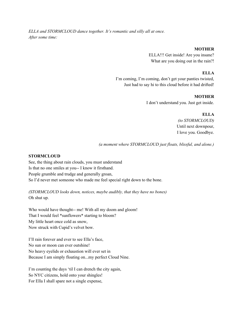*ELLA and STORMCLOUD dance together. It's romantic and silly all at once. After some time:*

# **MOTHER**

ELLA!!! Get inside! Are you insane? What are you doing out in the rain?!

# **ELLA**

I'm coming, I'm coming, don't get your panties twisted, Just had to say hi to this cloud before it had drifted!

# **MOTHER**

I don't understand you. Just get inside.

**ELLA**

*(to STORMCLOUD)* Until next downpour, I love you. Goodbye.

*(a moment where STORMCLOUD just floats, blissful, and alone.)*

# **STORMCLOUD**

See, the thing about rain clouds, you must understand Is that no one smiles at you-- I know it firsthand. People grumble and trudge and generally groan, So I'd never met someone who made me feel special right down to the bone.

*(STORMCLOUD looks down, notices, maybe audibly, that they have no bones)* Oh shut up.

Who would have thought-- me! With all my doom and gloom! That I would feel \*sunflowers\* starting to bloom? My little heart once cold as snow, Now struck with Cupid's velvet bow.

I'll rain forever and ever to see Ella's face, No sun or moon can ever outshine! No heavy eyelids or exhaustion will ever set in Because I am simply floating on...my perfect Cloud Nine.

I'm counting the days 'til I can drench the city again, So NYC citizens, hold onto your shingles! For Ella I shall spare not a single expense,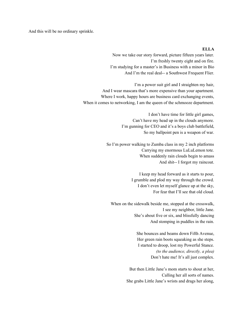And this will be no ordinary sprinkle.

#### **ELLA**

Now we take our story forward, picture fifteen years later. I'm freshly twenty eight and on fire. I'm studying for a master's in Business with a minor in Bio And I'm the real deal-- a Southwest Frequent Flier.

I'm a power suit girl and I straighten my hair, And I wear mascara that's more expensive than your apartment. Where I work, happy hours are business card exchanging events, When it comes to networking, I am the queen of the schmooze department.

> I don't have time for little girl games, Can't have my head up in the clouds anymore. I'm gunning for CEO and it's a boys club battlefield, So my ballpoint pen is a weapon of war.

So I'm power walking to Zumba class in my 2 inch platforms Carrying my enormous LuLuLemon tote. When suddenly rain clouds begin to amass And shit-- I forgot my raincoat.

> I keep my head forward as it starts to pour, I grumble and plod my way through the crowd. I don't even let myself glance up at the sky, For fear that I'll see that old cloud.

When on the sidewalk beside me, stopped at the crosswalk, I see my neighbor, little Jane. She's about five or six, and blissfully dancing And stomping in puddles in the rain.

> She bounces and beams down Fifth Avenue, Her green rain boots squeaking as she steps. I started to droop, lost my Powerful Stance. *(to the audience, directly, a plea)* Don't hate me! It's all just complex.

But then Little Jane's mom starts to shout at her, Calling her all sorts of names. She grabs Little Jane's wrists and drags her along,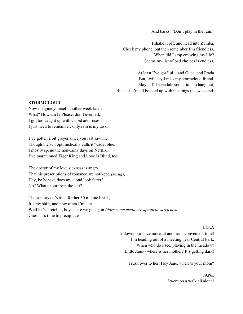And barks, "Don't play in the rain."

I shake it off, and head into Zumba. Check my phone, but then remember I'm friendless. When did I stop enjoying my life? Seems my list of bad choices is endless.

At least I've got LuLu and Gucci and Prada But I will say I miss my stormcloud friend. Maybe I'll schedule some time to hang out, But shit. I'm all booked up with meetings this weekend.

#### **STORMCLOUD**

Now imagine yourself another week later. What? How am I? Please, don't even ask. I got too caught up with Cupid and roses. I just need to remember: only rain is my task.

I've gotten a bit greyer since you last saw me. Though the sun optimistically calls it "cadet blue." I mostly spend the non-rainy days on Netflix. I've marathoned Tiger King and Love is Blind, too.

The doctor of my love sickness is angry That his prescriptions of romance are not kept. *(shrugs)* Hey, be honest, does my cloud look fatter? No? What about from the left?

The sun says it's time for her 30 minute break, It's my shift, and now often I'm late. Well let's stretch it, boys, here we go again *(does some mediocre apathetic stretches)* Guess it's time to precipitate.

# **ELLA**

The downpour once more, at another inconvenient time! I'm heading out of a meeting near Central Park. When who do I see, playing in the meadow? Little Jane-- where is her mother? It's getting dark!

I rush over to her: Hey Jane, where's your mom?

# **JANE**

I went on a walk all alone!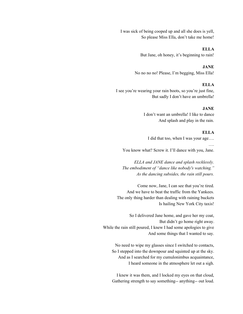I was sick of being cooped up and all she does is yell, So please Miss Ella, don't take me home!

> **ELLA** But Jane, oh honey, it's beginning to rain!

**JANE** No no no no! Please, I'm begging, Miss Ella!

# **ELLA**

I see you're wearing your rain boots, so you're just fine, But sadly I don't have an umbrella!

## **JANE**

I don't want an umbrella! I like to dance And splash and play in the rain.

#### **ELLA**

I did that too, when I was your age…. …. You know what? Screw it. I'll dance with you, Jane.

*ELLA and JANE dance and splash recklessly. The embodiment of "dance like nobody's watching." As the dancing subsides, the rain still pours.*

Come now, Jane, I can see that you're tired. And we have to beat the traffic from the Yankees. The only thing harder than dealing with raining buckets Is hailing New York City taxis!

So I delivered Jane home, and gave her my coat, But didn't go home right away. While the rain still poured, I knew I had some apologies to give And some things that I wanted to say.

No need to wipe my glasses since I switched to contacts, So I stepped into the downpour and squinted up at the sky. And as I searched for my cumulonimbus acquaintance, I heard someone in the atmosphere let out a sigh.

I knew it was them, and I locked my eyes on that cloud, Gathering strength to say something-- anything-- out loud.